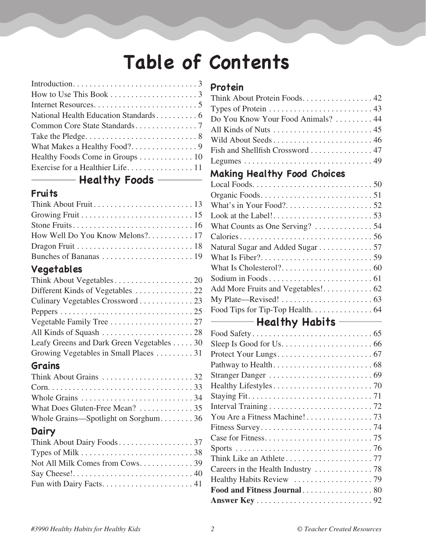## **Table of Contents**

| How to Use This Book $\ldots \ldots \ldots \ldots \ldots \ldots$ |
|------------------------------------------------------------------|
|                                                                  |
|                                                                  |
|                                                                  |
|                                                                  |
|                                                                  |
| Healthy Foods Come in Groups 10                                  |
|                                                                  |
|                                                                  |

### **Healthy Foods**

### **Fruits**

### **Vegetables**

| Culinary Vegetables Crossword 23          |
|-------------------------------------------|
|                                           |
|                                           |
|                                           |
| Leafy Greens and Dark Green Vegetables 30 |
| Growing Vegetables in Small Places 31     |
|                                           |

### **Grains**

| What Does Gluten-Free Mean? 35      |  |
|-------------------------------------|--|
| Whole Grains—Spotlight on Sorghum36 |  |

### **Dairy**

| Types of Milk $\dots \dots \dots \dots \dots \dots \dots \dots \dots \dots 38$ |  |
|--------------------------------------------------------------------------------|--|
| Not All Milk Comes from Cows. 39                                               |  |
|                                                                                |  |
|                                                                                |  |

### **Protein**

| Think About Protein Foods. 42                                                 |
|-------------------------------------------------------------------------------|
| Types of Protein $\dots \dots \dots \dots \dots \dots \dots \dots \dots$ . 43 |
| Do You Know Your Food Animals?  44                                            |
|                                                                               |
| Wild About Seeds 46                                                           |
| Fish and Shellfish Crossword  47                                              |
|                                                                               |
| <b>Making Healthy Food Choices</b>                                            |
|                                                                               |
|                                                                               |
|                                                                               |
|                                                                               |
| What Counts as One Serving? 54                                                |
|                                                                               |
| Natural Sugar and Added Sugar 57                                              |
|                                                                               |
|                                                                               |
|                                                                               |
|                                                                               |
|                                                                               |
| Food Tips for Tip-Top Health. 64                                              |
| <b>Example 2</b> Healthy Habits ————                                          |
|                                                                               |
|                                                                               |
|                                                                               |
|                                                                               |
|                                                                               |
|                                                                               |
|                                                                               |
|                                                                               |
|                                                                               |
|                                                                               |
|                                                                               |
|                                                                               |
|                                                                               |
|                                                                               |
|                                                                               |
| Food and Fitness Journal80                                                    |
|                                                                               |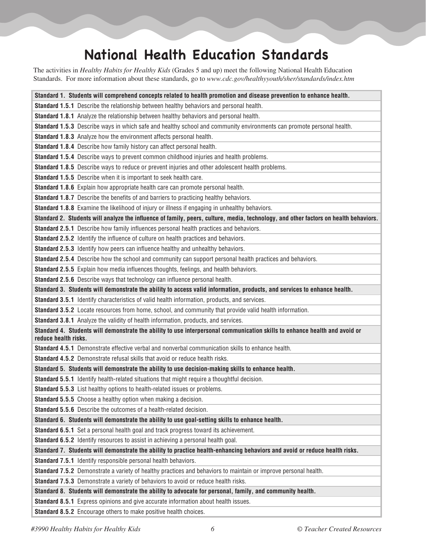## **National Health Education Standards**

The activities in *Healthy Habits for Healthy Kids* (Grades 5 and up) meet the following National Health Education Standards. For more information about these standards, go to *www.cdc.gov/healthyyouth/sher/standards/index.htm*

| Standard 1. Students will comprehend concepts related to health promotion and disease prevention to enhance health.                                |
|----------------------------------------------------------------------------------------------------------------------------------------------------|
| <b>Standard 1.5.1</b> Describe the relationship between healthy behaviors and personal health.                                                     |
| Standard 1.8.1 Analyze the relationship between healthy behaviors and personal health.                                                             |
| Standard 1.5.3 Describe ways in which safe and healthy school and community environments can promote personal health.                              |
| Standard 1.8.3 Analyze how the environment affects personal health.                                                                                |
| Standard 1.8.4 Describe how family history can affect personal health.                                                                             |
| Standard 1.5.4 Describe ways to prevent common childhood injuries and health problems.                                                             |
| Standard 1.8.5 Describe ways to reduce or prevent injuries and other adolescent health problems.                                                   |
| Standard 1.5.5 Describe when it is important to seek health care.                                                                                  |
| Standard 1.8.6 Explain how appropriate health care can promote personal health.                                                                    |
| Standard 1.8.7 Describe the benefits of and barriers to practicing healthy behaviors.                                                              |
| Standard 1.8.8 Examine the likelihood of injury or illness if engaging in unhealthy behaviors.                                                     |
| Standard 2. Students will analyze the influence of family, peers, culture, media, technology, and other factors on health behaviors.               |
| Standard 2.5.1 Describe how family influences personal health practices and behaviors.                                                             |
| Standard 2.5.2 Identify the influence of culture on health practices and behaviors.                                                                |
| Standard 2.5.3 Identify how peers can influence healthy and unhealthy behaviors.                                                                   |
| Standard 2.5.4 Describe how the school and community can support personal health practices and behaviors.                                          |
| <b>Standard 2.5.5</b> Explain how media influences thoughts, feelings, and health behaviors.                                                       |
| Standard 2.5.6 Describe ways that technology can influence personal health.                                                                        |
| Standard 3. Students will demonstrate the ability to access valid information, products, and services to enhance health.                           |
| Standard 3.5.1 Identify characteristics of valid health information, products, and services.                                                       |
| Standard 3.5.2 Locate resources from home, school, and community that provide valid health information.                                            |
| Standard 3.8.1 Analyze the validity of health information, products, and services.                                                                 |
| Standard 4. Students will demonstrate the ability to use interpersonal communication skills to enhance health and avoid or<br>reduce health risks. |
| Standard 4.5.1 Demonstrate effective verbal and nonverbal communication skills to enhance health.                                                  |
| <b>Standard 4.5.2</b> Demonstrate refusal skills that avoid or reduce health risks.                                                                |
| Standard 5. Students will demonstrate the ability to use decision-making skills to enhance health.                                                 |
| Standard 5.5.1 Identify health-related situations that might require a thoughtful decision.                                                        |
| Standard 5.5.3 List healthy options to health-related issues or problems.                                                                          |
| <b>Standard 5.5.5</b> Choose a healthy option when making a decision.                                                                              |
| Standard 5.5.6 Describe the outcomes of a health-related decision.                                                                                 |
| Standard 6. Students will demonstrate the ability to use goal-setting skills to enhance health.                                                    |
| Standard 6.5.1 Set a personal health goal and track progress toward its achievement.                                                               |
| <b>Standard 6.5.2</b> Identify resources to assist in achieving a personal health goal.                                                            |
| Standard 7. Students will demonstrate the ability to practice health-enhancing behaviors and avoid or reduce health risks.                         |
| Standard 7.5.1 Identify responsible personal health behaviors.                                                                                     |
| Standard 7.5.2 Demonstrate a variety of healthy practices and behaviors to maintain or improve personal health.                                    |
| Standard 7.5.3 Demonstrate a variety of behaviors to avoid or reduce health risks.                                                                 |
| Standard 8. Students will demonstrate the ability to advocate for personal, family, and community health.                                          |
| Standard 8.5.1 Express opinions and give accurate information about health issues.                                                                 |
| <b>Standard 8.5.2</b> Encourage others to make positive health choices.                                                                            |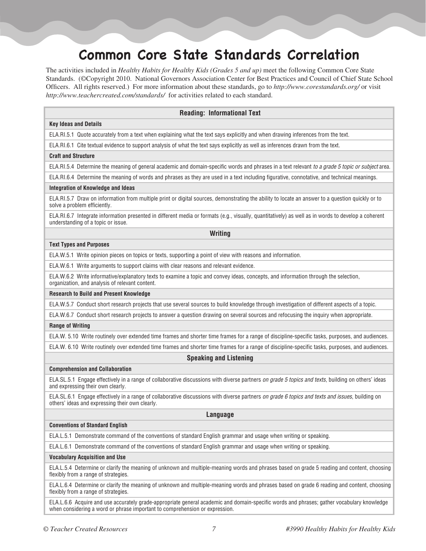## **Common Core State Standards Correlation**

The activities included in *Healthy Habits for Healthy Kids (Grades 5 and up)* meet the following Common Core State Standards. (©Copyright 2010. National Governors Association Center for Best Practices and Council of Chief State School Officers. All rights reserved.) For more information about these standards, go to *http://www.corestandards.org/* or visit *http://www.teachercreated.com/standards/* for activities related to each standard.

#### **Reading: Informational Text**

#### **Key Ideas and Details**

ELA.RI.5.1 Quote accurately from a text when explaining what the text says explicitly and when drawing inferences from the text.

ELA.RI.6.1 Cite textual evidence to support analysis of what the text says explicitly as well as inferences drawn from the text.

#### **Craft and Structure**

ELA.RI.5.4 Determine the meaning of general academic and domain-specific words and phrases in a text relevant *to a grade 5 topic or subject* area.

ELA.RI.6.4 Determine the meaning of words and phrases as they are used in a text including figurative, connotative, and technical meanings.

#### **Integration of Knowledge and Ideas**

ELA.RI.5.7 Draw on information from multiple print or digital sources, demonstrating the ability to locate an answer to a question quickly or to solve a problem efficiently.

ELA.RI.6.7 Integrate information presented in different media or formats (e.g., visually, quantitatively) as well as in words to develop a coherent understanding of a topic or issue.

**Writing**

#### **Text Types and Purposes**

ELA.W.5.1 Write opinion pieces on topics or texts, supporting a point of view with reasons and information.

ELA.W.6.1 Write arguments to support claims with clear reasons and relevant evidence.

ELA.W.6.2 Write informative/explanatory texts to examine a topic and convey ideas, concepts, and information through the selection, organization, and analysis of relevant content.

#### **Research to Build and Present Knowledge**

ELA.W.5.7 Conduct short research projects that use several sources to build knowledge through investigation of different aspects of a topic.

ELA.W.6.7 Conduct short research projects to answer a question drawing on several sources and refocusing the inquiry when appropriate.

#### **Range of Writing**

ELA.W. 5.10 Write routinely over extended time frames and shorter time frames for a range of discipline-specific tasks, purposes, and audiences.

ELA.W. 6.10 Write routinely over extended time frames and shorter time frames for a range of discipline-specific tasks, purposes, and audiences.

#### **Speaking and Listening**

#### **Comprehension and Collaboration**

ELA.SL.5.1 Engage effectively in a range of collaborative discussions with diverse partners *on grade 5 topics and texts*, building on others' ideas and expressing their own clearly.

ELA.SL.6.1 Engage effectively in a range of collaborative discussions with diverse partners *on grade 6 topics and texts and issues*, building on others' ideas and expressing their own clearly.

**Language**

#### **Conventions of Standard English**

ELA.L.5.1 Demonstrate command of the conventions of standard English grammar and usage when writing or speaking.

ELA.L.6.1 Demonstrate command of the conventions of standard English grammar and usage when writing or speaking.

#### **Vocabulary Acquisition and Use**

ELA.L.5.4 Determine or clarify the meaning of unknown and multiple-meaning words and phrases based on grade 5 reading and content, choosing flexibly from a range of strategies.

ELA.L.6.4 Determine or clarify the meaning of unknown and multiple-meaning words and phrases based on grade 6 reading and content, choosing flexibly from a range of strategies.

ELA.L.6.6 Acquire and use accurately grade-appropriate general academic and domain-specific words and phrases; gather vocabulary knowledge when considering a word or phrase important to comprehension or expression.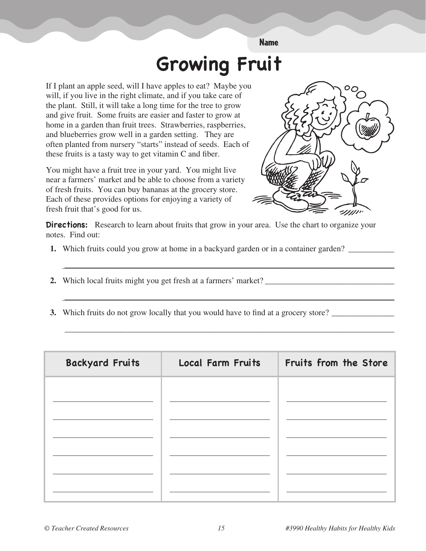# **Growing Fruit**

**Name** 

If I plant an apple seed, will I have apples to eat? Maybe you will, if you live in the right climate, and if you take care of the plant. Still, it will take a long time for the tree to grow and give fruit. Some fruits are easier and faster to grow at home in a garden than fruit trees. Strawberries, raspberries, and blueberries grow well in a garden setting. They are often planted from nursery "starts" instead of seeds. Each of these fruits is a tasty way to get vitamin C and fiber.

You might have a fruit tree in your yard. You might live near a farmers' market and be able to choose from a variety of fresh fruits. You can buy bananas at the grocery store. Each of these provides options for enjoying a variety of fresh fruit that's good for us.



**Directions:** Research to learn about fruits that grow in your area. Use the chart to organize your notes. Find out:

- 1. Which fruits could you grow at home in a backyard garden or in a container garden?
- 2. Which local fruits might you get fresh at a farmers' market?
- 3. Which fruits do not grow locally that you would have to find at a grocery store?

| <b>Backyard Fruits</b> | <b>Local Farm Fruits</b> | Fruits from the Store |
|------------------------|--------------------------|-----------------------|
|                        |                          |                       |
|                        |                          |                       |
|                        |                          |                       |
|                        |                          |                       |
|                        |                          |                       |
|                        |                          |                       |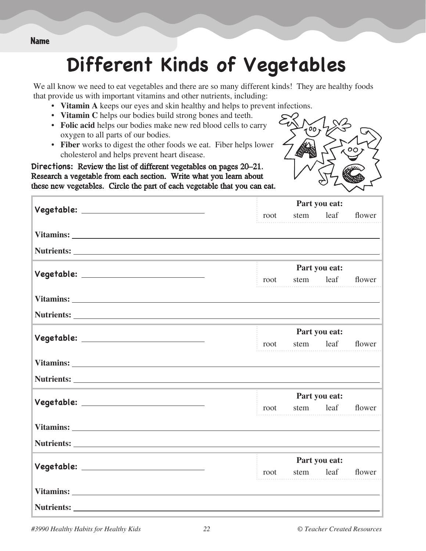## **Different Kinds of Vegetables**

We all know we need to eat vegetables and there are so many different kinds! They are healthy foods that provide us with important vitamins and other nutrients, including:

- • **Vitamin A** keeps our eyes and skin healthy and helps to prevent infections.
- • **Vitamin C** helps our bodies build strong bones and teeth.
- • **Folic acid** helps our bodies make new red blood cells to carry oxygen to all parts of our bodies.
- • **Fiber** works to digest the other foods we eat. Fiber helps lower cholesterol and helps prevent heart disease.

**Directions:** Review the list of different vegetables on pages 20–21. Research a vegetable from each section. Write what you learn about these new vegetables. Circle the part of each vegetable that you can eat.



|                                        | Part you eat:               |
|----------------------------------------|-----------------------------|
|                                        | stem leaf<br>flower<br>root |
|                                        |                             |
|                                        |                             |
|                                        | Part you eat:               |
| Vegetable: __________________________  | stem leaf<br>flower<br>root |
|                                        |                             |
|                                        |                             |
|                                        | Part you eat:               |
| Vegetable: __________________________  | stem leaf<br>flower<br>root |
|                                        |                             |
|                                        |                             |
|                                        | Part you eat:               |
| Vegetable: ___________________________ | stem leaf<br>flower<br>root |
|                                        |                             |
|                                        |                             |
|                                        | Part you eat:               |
| Vegetable: _________________________   | stem leaf<br>flower<br>root |
|                                        |                             |
|                                        |                             |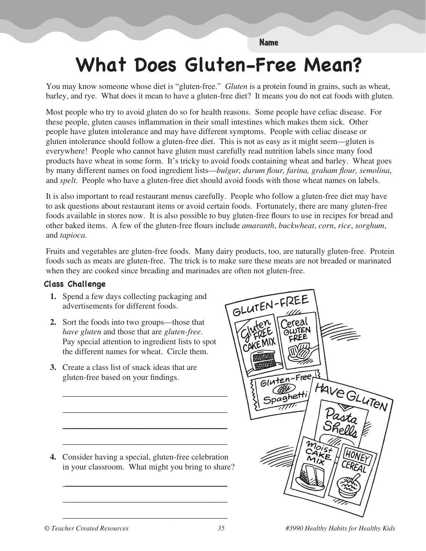#### **Name**

## What Does Gluten-Free Mean?

You may know someone whose diet is "gluten-free." Gluten is a protein found in grains, such as wheat, barley, and rye. What does it mean to have a gluten-free diet? It means you do not eat foods with gluten.

Most people who try to avoid gluten do so for health reasons. Some people have celiac disease. For these people, gluten causes inflammation in their small intestines which makes them sick. Other people have gluten intolerance and may have different symptoms. People with celiac disease or gluten intolerance should follow a gluten-free diet. This is not as easy as it might seem—gluten is everywhere! People who cannot have gluten must carefully read nutrition labels since many food products have wheat in some form. It's tricky to avoid foods containing wheat and barley. Wheat goes by many different names on food ingredient lists—bulgur, durum flour, farina, graham flour, semolina, and *spelt*. People who have a gluten-free diet should avoid foods with those wheat names on labels.

It is also important to read restaurant menus carefully. People who follow a gluten-free diet may have to ask questions about restaurant items or avoid certain foods. Fortunately, there are many gluten-free foods available in stores now. It is also possible to buy gluten-free flours to use in recipes for bread and other baked items. A few of the gluten-free flours include amaranth, buckwheat, corn, rice, sorghum, and tapioca.

Fruits and vegetables are gluten-free foods. Many dairy products, too, are naturally gluten-free. Protein foods such as meats are gluten-free. The trick is to make sure these meats are not breaded or marinated when they are cooked since breading and marinades are often not gluten-free.

#### **Class Challenge**

- 1. Spend a few days collecting packaging and advertisements for different foods.
- 2. Sort the foods into two groups—those that have gluten and those that are gluten-free. Pay special attention to ingredient lists to spot the different names for wheat. Circle them.
- 3. Create a class list of snack ideas that are gluten-free based on your findings.

4. Consider having a special, gluten-free celebration in your classroom. What might you bring to share?

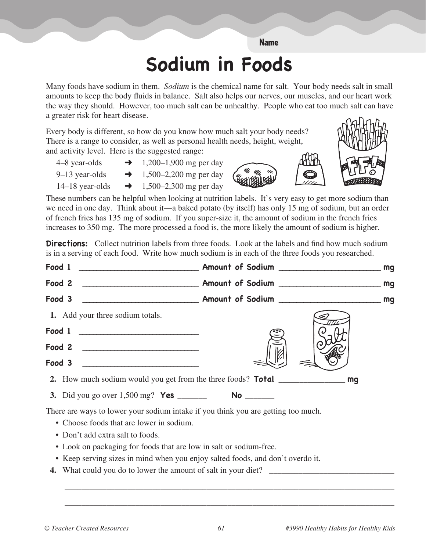#### Name

## **Sodium in Foods**

Many foods have sodium in them. *Sodium* is the chemical name for salt. Your body needs salt in small amounts to keep the body fluids in balance. Salt also helps our nerves, our muscles, and our heart work the way they should. However, too much salt can be unhealthy. People who eat too much salt can have a greater risk for heart disease.

Every body is different, so how do you know how much salt your body needs? There is a range to consider, as well as personal health needs, height, weight, and activity level. Here is the suggested range:

4–8 year-olds  $\rightarrow$  1,200–1,900 mg per day 9–13 year-olds  $\rightarrow$  1,500–2,200 mg per day

14–18 year-olds  $\rightarrow$  1,500–2,300 mg per day

These numbers can be helpful when looking at nutrition labels. It's very easy to get more sodium than we need in one day. Think about it—a baked potato (by itself) has only 15 mg of sodium, but an order of french fries has 135 mg of sodium. If you super-size it, the amount of sodium in the french fries increases to 350 mg. The more processed a food is, the more likely the amount of sodium is higher.

**Directions:** Collect nutrition labels from three foods. Look at the labels and find how much sodium is in a serving of each food. Write how much sodium is in each of the three foods you researched.

| Food 2                                                                                                                                                                                                                                                                                                                                                                                                            |  |
|-------------------------------------------------------------------------------------------------------------------------------------------------------------------------------------------------------------------------------------------------------------------------------------------------------------------------------------------------------------------------------------------------------------------|--|
| Food 3                                                                                                                                                                                                                                                                                                                                                                                                            |  |
| 1. Add your three sodium totals.                                                                                                                                                                                                                                                                                                                                                                                  |  |
| $\begin{tabular}{c} Food 1 & \underline{\hspace{1.5cm}}\hspace{1.5cm}\hspace{1.5cm}\hspace{1.5cm}\hspace{1.5cm}\hspace{1.5cm}\hspace{1.5cm}\hspace{1.5cm}\hspace{1.5cm}\hspace{1.5cm}\hspace{1.5cm}\hspace{1.5cm}\hspace{1.5cm}\hspace{1.5cm}\hspace{1.5cm}\hspace{1.5cm}\hspace{1.5cm}\hspace{1.5cm}\hspace{1.5cm}\hspace{1.5cm}\hspace{1.5cm}\hspace{1.5cm}\hspace{1.5cm}\hspace{1.5cm}\hspace{1.5cm}\hspace{1$ |  |
| Food 2                                                                                                                                                                                                                                                                                                                                                                                                            |  |
| Food 3                                                                                                                                                                                                                                                                                                                                                                                                            |  |
|                                                                                                                                                                                                                                                                                                                                                                                                                   |  |
|                                                                                                                                                                                                                                                                                                                                                                                                                   |  |
| There are ways to lower your sodium intake if you think you are getting too much.                                                                                                                                                                                                                                                                                                                                 |  |

- Choose foods that are lower in sodium.
- Don't add extra salt to foods.
- Look on packaging for foods that are low in salt or sodium-free.
- Keep serving sizes in mind when you enjoy salted foods, and don't overdo it.
- **4.** What could you do to lower the amount of salt in your diet?

 $\sim$   $\sim$   $\sim$ 

 $\mathcal{L} = \frac{1}{2} \sum_{i=1}^{n} \frac{1}{2} \sum_{j=1}^{n} \frac{1}{2} \sum_{j=1}^{n} \frac{1}{2} \sum_{j=1}^{n} \frac{1}{2} \sum_{j=1}^{n} \frac{1}{2} \sum_{j=1}^{n} \frac{1}{2} \sum_{j=1}^{n} \frac{1}{2} \sum_{j=1}^{n} \frac{1}{2} \sum_{j=1}^{n} \frac{1}{2} \sum_{j=1}^{n} \frac{1}{2} \sum_{j=1}^{n} \frac{1}{2} \sum_{j=1}^{n} \frac{1}{2} \sum$